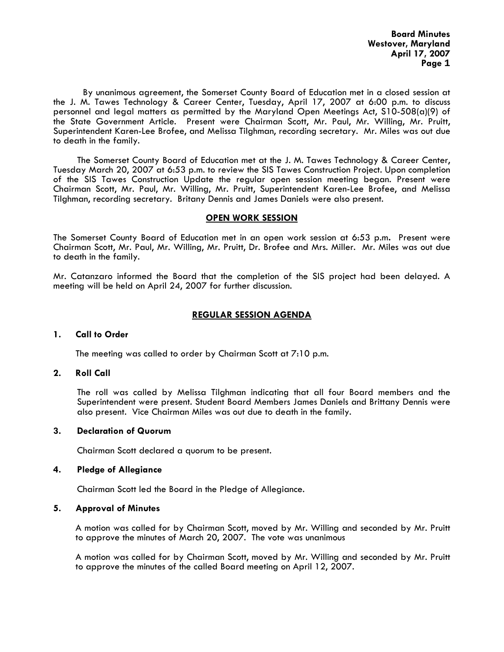By unanimous agreement, the Somerset County Board of Education met in a closed session at the J. M. Tawes Technology & Career Center, Tuesday, April 17, 2007 at 6:00 p.m. to discuss personnel and legal matters as permitted by the Maryland Open Meetings Act, S10-508(a)(9) of the State Government Article. Present were Chairman Scott, Mr. Paul, Mr. Willing, Mr. Pruitt, Superintendent Karen-Lee Brofee, and Melissa Tilghman, recording secretary. Mr. Miles was out due to death in the family.

The Somerset County Board of Education met at the J. M. Tawes Technology & Career Center, Tuesday March 20, 2007 at 6:53 p.m. to review the SIS Tawes Construction Project. Upon completion of the SIS Tawes Construction Update the regular open session meeting began. Present were Chairman Scott, Mr. Paul, Mr. Willing, Mr. Pruitt, Superintendent Karen-Lee Brofee, and Melissa Tilghman, recording secretary. Britany Dennis and James Daniels were also present.

#### **OPEN WORK SESSION**

The Somerset County Board of Education met in an open work session at 6:53 p.m**.** Present were Chairman Scott, Mr. Paul, Mr. Willing, Mr. Pruitt, Dr. Brofee and Mrs. Miller. Mr. Miles was out due to death in the family.

Mr. Catanzaro informed the Board that the completion of the SIS project had been delayed. A meeting will be held on April 24, 2007 for further discussion.

### **REGULAR SESSION AGENDA**

#### **1. Call to Order**

The meeting was called to order by Chairman Scott at 7:10 p.m.

### **2. Roll Call**

The roll was called by Melissa Tilghman indicating that all four Board members and the Superintendent were present. Student Board Members James Daniels and Brittany Dennis were also present. Vice Chairman Miles was out due to death in the family.

#### **3. Declaration of Quorum**

Chairman Scott declared a quorum to be present.

### **4. Pledge of Allegiance**

Chairman Scott led the Board in the Pledge of Allegiance.

### **5. Approval of Minutes**

 A motion was called for by Chairman Scott, moved by Mr. Willing and seconded by Mr. Pruitt to approve the minutes of March 20, 2007. The vote was unanimous

 A motion was called for by Chairman Scott, moved by Mr. Willing and seconded by Mr. Pruitt to approve the minutes of the called Board meeting on April 12, 2007.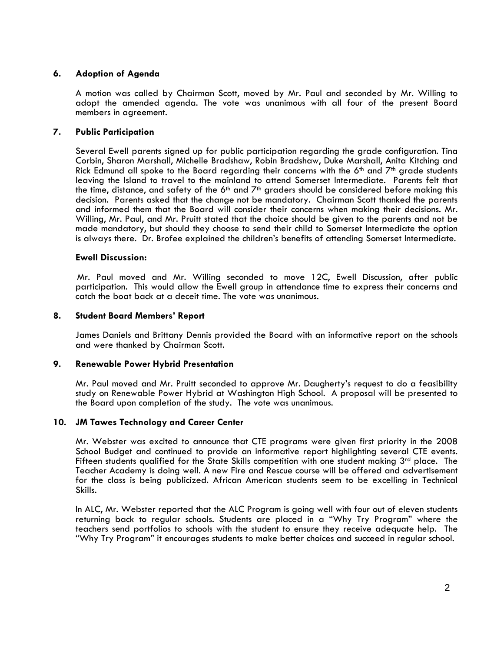## **6. Adoption of Agenda**

 A motion was called by Chairman Scott, moved by Mr. Paul and seconded by Mr. Willing to adopt the amended agenda. The vote was unanimous with all four of the present Board members in agreement.

### **7. Public Participation**

Several Ewell parents signed up for public participation regarding the grade configuration. Tina Corbin, Sharon Marshall, Michelle Bradshaw, Robin Bradshaw, Duke Marshall, Anita Kitching and Rick Edmund all spoke to the Board regarding their concerns with the  $6<sup>th</sup>$  and  $7<sup>th</sup>$  grade students leaving the Island to travel to the mainland to attend Somerset Intermediate. Parents felt that the time, distance, and safety of the  $6<sup>th</sup>$  and  $7<sup>th</sup>$  graders should be considered before making this decision. Parents asked that the change not be mandatory. Chairman Scott thanked the parents and informed them that the Board will consider their concerns when making their decisions. Mr. Willing, Mr. Paul, and Mr. Pruitt stated that the choice should be given to the parents and not be made mandatory, but should they choose to send their child to Somerset Intermediate the option is always there. Dr. Brofee explained the children's benefits of attending Somerset Intermediate.

### **Ewell Discussion:**

 Mr. Paul moved and Mr. Willing seconded to move 12C, Ewell Discussion, after public participation. This would allow the Ewell group in attendance time to express their concerns and catch the boat back at a deceit time. The vote was unanimous.

### **8. Student Board Members' Report**

James Daniels and Brittany Dennis provided the Board with an informative report on the schools and were thanked by Chairman Scott.

### **9. Renewable Power Hybrid Presentation**

Mr. Paul moved and Mr. Pruitt seconded to approve Mr. Daugherty's request to do a feasibility study on Renewable Power Hybrid at Washington High School. A proposal will be presented to the Board upon completion of the study. The vote was unanimous.

### **10. JM Tawes Technology and Career Center**

Mr. Webster was excited to announce that CTE programs were given first priority in the 2008 School Budget and continued to provide an informative report highlighting several CTE events. Fifteen students qualified for the State Skills competition with one student making  $3<sup>rd</sup>$  place. The Teacher Academy is doing well. A new Fire and Rescue course will be offered and advertisement for the class is being publicized. African American students seem to be excelling in Technical Skills.

In ALC, Mr. Webster reported that the ALC Program is going well with four out of eleven students returning back to regular schools. Students are placed in a "Why Try Program" where the teachers send portfolios to schools with the student to ensure they receive adequate help. The "Why Try Program" it encourages students to make better choices and succeed in regular school.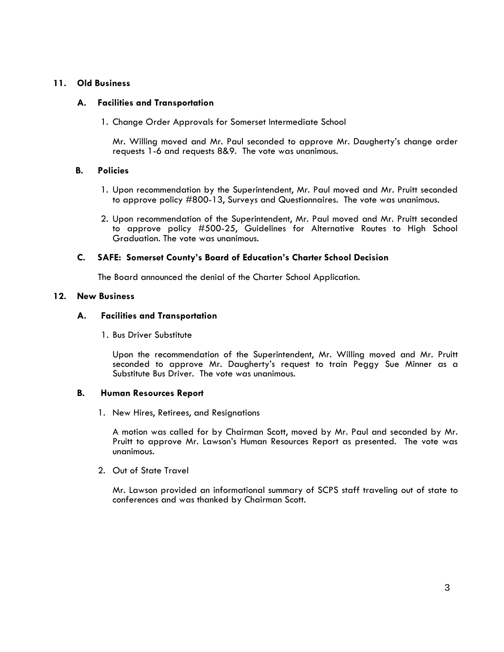## **11. Old Business**

## **A. Facilities and Transportation**

1. Change Order Approvals for Somerset Intermediate School

Mr. Willing moved and Mr. Paul seconded to approve Mr. Daugherty's change order requests 1-6 and requests 8&9. The vote was unanimous.

### **B. Policies**

- 1. Upon recommendation by the Superintendent, Mr. Paul moved and Mr. Pruitt seconded to approve policy #800-13, Surveys and Questionnaires. The vote was unanimous.
- 2. Upon recommendation of the Superintendent, Mr. Paul moved and Mr. Pruitt seconded to approve policy #500-25, Guidelines for Alternative Routes to High School Graduation. The vote was unanimous.

## **C. SAFE: Somerset County's Board of Education's Charter School Decision**

The Board announced the denial of the Charter School Application.

# **12. New Business**

### **A. Facilities and Transportation**

1. Bus Driver Substitute

Upon the recommendation of the Superintendent, Mr. Willing moved and Mr. Pruitt seconded to approve Mr. Daugherty's request to train Peggy Sue Minner as a Substitute Bus Driver. The vote was unanimous.

### **B. Human Resources Report**

1. New Hires, Retirees, and Resignations

A motion was called for by Chairman Scott, moved by Mr. Paul and seconded by Mr. Pruitt to approve Mr. Lawson's Human Resources Report as presented. The vote was unanimous.

2. Out of State Travel

Mr. Lawson provided an informational summary of SCPS staff traveling out of state to conferences and was thanked by Chairman Scott.